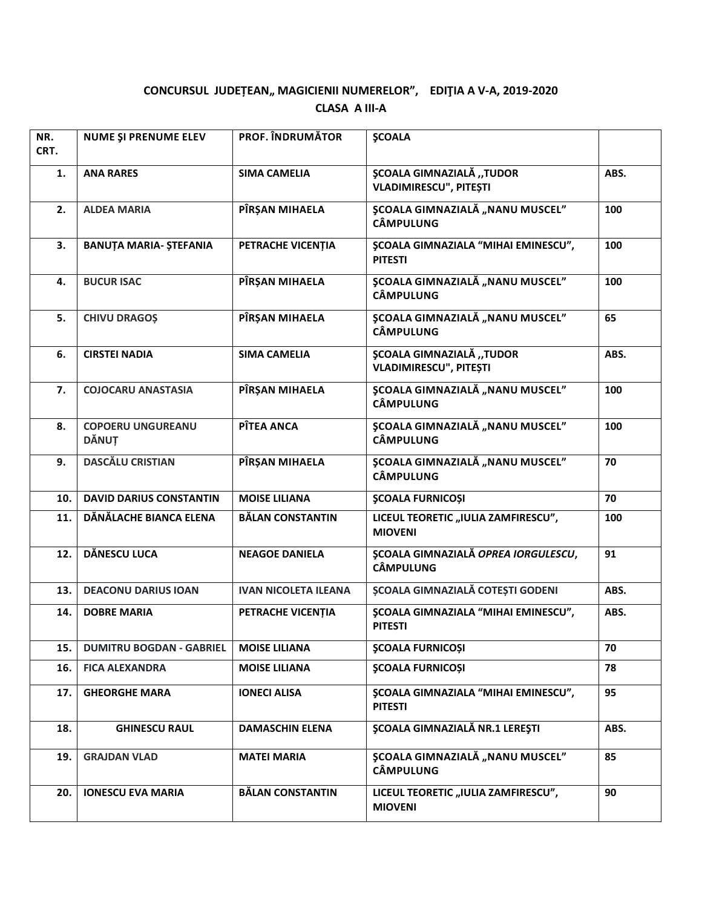## CONCURSUL JUDEȚEAN,, MAGICIENII NUMERELOR", EDIȚIA A V-A, 2019-2020 **CLASA A III-A**

| NR.<br>CRT. | NUME ȘI PRENUME ELEV                     | <b>PROF. ÎNDRUMĂTOR</b>     | <b>ŞCOALA</b>                                                    |      |
|-------------|------------------------------------------|-----------------------------|------------------------------------------------------------------|------|
| 1.          | <b>ANA RARES</b>                         | <b>SIMA CAMELIA</b>         | ȘCOALA GIMNAZIALĂ "TUDOR<br><b>VLADIMIRESCU", PITEȘTI</b>        | ABS. |
| 2.          | <b>ALDEA MARIA</b>                       | PÎRȘAN MIHAELA              | <b>SCOALA GIMNAZIALĂ "NANU MUSCEL"</b><br><b>CÂMPULUNG</b>       | 100  |
| 3.          | <b>BANUȚA MARIA- ȘTEFANIA</b>            | PETRACHE VICENȚIA           | <b>ŞCOALA GIMNAZIALA "MIHAI EMINESCU",</b><br><b>PITESTI</b>     | 100  |
| 4.          | <b>BUCUR ISAC</b>                        | PÎRȘAN MIHAELA              | <b>ȘCOALA GIMNAZIALĂ "NANU MUSCEL"</b><br><b>CÂMPULUNG</b>       | 100  |
| 5.          | <b>CHIVU DRAGOS</b>                      | PÎRȘAN MIHAELA              | ȘCOALA GIMNAZIALĂ "NANU MUSCEL"<br><b>CÂMPULUNG</b>              | 65   |
| 6.          | <b>CIRSTEI NADIA</b>                     | <b>SIMA CAMELIA</b>         | <b>ȘCOALA GIMNAZIALĂ "TUDOR</b><br><b>VLADIMIRESCU", PITEȘTI</b> | ABS. |
| 7.          | <b>COJOCARU ANASTASIA</b>                | PÎRȘAN MIHAELA              | <b>ȘCOALA GIMNAZIALĂ "NANU MUSCEL"</b><br><b>CÂMPULUNG</b>       | 100  |
| 8.          | <b>COPOERU UNGUREANU</b><br><b>DĂNUȚ</b> | PÎTEA ANCA                  | <b>ȘCOALA GIMNAZIALĂ "NANU MUSCEL"</b><br><b>CÂMPULUNG</b>       | 100  |
| 9.          | <b>DASCĂLU CRISTIAN</b>                  | PÎRȘAN MIHAELA              | <b>SCOALA GIMNAZIALĂ "NANU MUSCEL"</b><br><b>CÂMPULUNG</b>       | 70   |
| 10.         | <b>DAVID DARIUS CONSTANTIN</b>           | <b>MOISE LILIANA</b>        | <b>ŞCOALA FURNICOȘI</b>                                          | 70   |
| 11.         | DĂNĂLACHE BIANCA ELENA                   | <b>BĂLAN CONSTANTIN</b>     | LICEUL TEORETIC "IULIA ZAMFIRESCU",<br><b>MIOVENI</b>            | 100  |
| 12.         | <b>DĂNESCU LUCA</b>                      | <b>NEAGOE DANIELA</b>       | <b>ȘCOALA GIMNAZIALĂ OPREA IORGULESCU,</b><br><b>CÂMPULUNG</b>   | 91   |
| 13.         | <b>DEACONU DARIUS IOAN</b>               | <b>IVAN NICOLETA ILEANA</b> | ȘCOALA GIMNAZIALĂ COTEȘTI GODENI                                 | ABS. |
| 14.         | <b>DOBRE MARIA</b>                       | PETRACHE VICENȚIA           | <b>ȘCOALA GIMNAZIALA "MIHAI EMINESCU",</b><br><b>PITESTI</b>     | ABS. |
| 15.         | <b>DUMITRU BOGDAN - GABRIEL</b>          | <b>MOISE LILIANA</b>        | <b>ŞCOALA FURNICOȘI</b>                                          | 70   |
| 16.         | <b>FICA ALEXANDRA</b>                    | <b>MOISE LILIANA</b>        | <b>ŞCOALA FURNICOȘI</b>                                          | 78   |
| 17.         | <b>GHEORGHE MARA</b>                     | <b>IONECI ALISA</b>         | <b>SCOALA GIMNAZIALA "MIHAI EMINESCU",</b><br><b>PITESTI</b>     | 95   |
| 18.         | <b>GHINESCU RAUL</b>                     | <b>DAMASCHIN ELENA</b>      | <b>ȘCOALA GIMNAZIALĂ NR.1 LEREȘTI</b>                            | ABS. |
| 19.         | <b>GRAJDAN VLAD</b>                      | <b>MATEI MARIA</b>          | <b>ȘCOALA GIMNAZIALĂ "NANU MUSCEL"</b><br><b>CÂMPULUNG</b>       | 85   |
| 20.         | <b>IONESCU EVA MARIA</b>                 | <b>BĂLAN CONSTANTIN</b>     | LICEUL TEORETIC "IULIA ZAMFIRESCU",<br><b>MIOVENI</b>            | 90   |